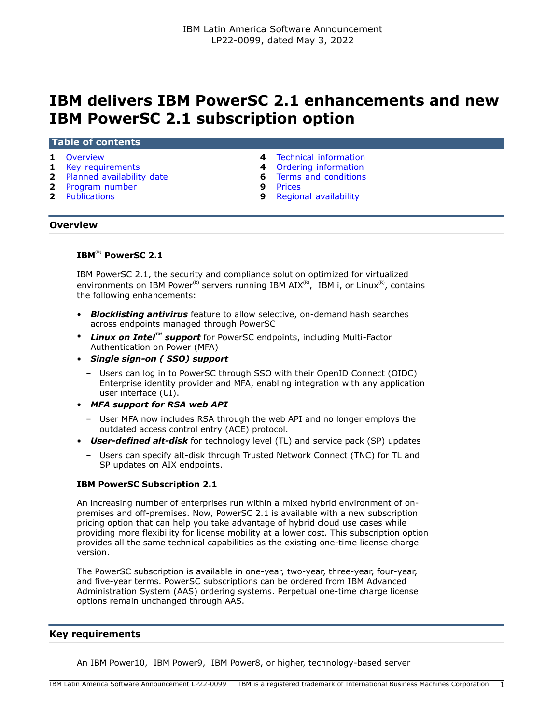# **IBM delivers IBM PowerSC 2.1 enhancements and new IBM PowerSC 2.1 subscription option**

## **Table of contents**

- 
- 
- **2** [Planned availability date](#page-1-0) **6** [Terms and conditions](#page-5-0)
- **2** [Program number](#page-1-1) **9** [Prices](#page-8-0)<br>**2** Publications **9** Region
- 
- **1** [Overview](#page-0-0) **4** [Technical information](#page-3-0)
- **1** [Key requirements](#page-0-1) **4** [Ordering information](#page-3-1)
	-
	-
	- **9** [Regional availability](#page-8-1)

## <span id="page-0-0"></span>**Overview**

# **IBM(R) PowerSC 2.1**

IBM PowerSC 2.1, the security and compliance solution optimized for virtualized environments on IBM Power<sup>(R)</sup> servers running IBM AIX<sup>(R)</sup>, IBM i, or Linux<sup>(R)</sup>, contains the following enhancements:

- *Blocklisting antivirus* feature to allow selective, on-demand hash searches across endpoints managed through PowerSC
- *Linux on IntelTM support* for PowerSC endpoints, including Multi-Factor Authentication on Power (MFA)
- *Single sign-on ( SSO) support*
	- Users can log in to PowerSC through SSO with their OpenID Connect (OIDC) Enterprise identity provider and MFA, enabling integration with any application user interface (UI).
- *MFA support for RSA web API*
	- User MFA now includes RSA through the web API and no longer employs the outdated access control entry (ACE) protocol.
- *User-defined alt-disk* for technology level (TL) and service pack (SP) updates
	- Users can specify alt-disk through Trusted Network Connect (TNC) for TL and SP updates on AIX endpoints.

#### **IBM PowerSC Subscription 2.1**

An increasing number of enterprises run within a mixed hybrid environment of onpremises and off-premises. Now, PowerSC 2.1 is available with a new subscription pricing option that can help you take advantage of hybrid cloud use cases while providing more flexibility for license mobility at a lower cost. This subscription option provides all the same technical capabilities as the existing one-time license charge version.

The PowerSC subscription is available in one-year, two-year, three-year, four-year, and five-year terms. PowerSC subscriptions can be ordered from IBM Advanced Administration System (AAS) ordering systems. Perpetual one-time charge license options remain unchanged through AAS.

## <span id="page-0-1"></span>**Key requirements**

An IBM Power10, IBM Power9, IBM Power8, or higher, technology-based server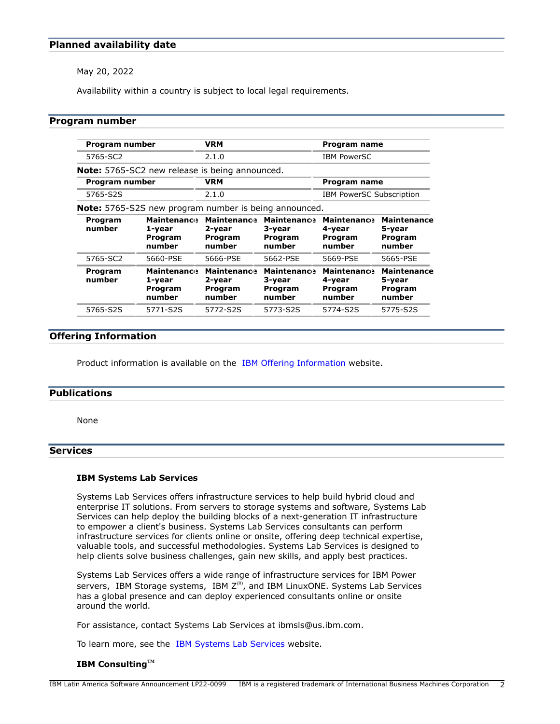# <span id="page-1-0"></span>**Planned availability date**

May 20, 2022

Availability within a country is subject to local legal requirements.

## <span id="page-1-1"></span>**Program number**

| Program number    |                                                              | <b>VRM</b>                                        |                                                   | Program name                                      |                                                   |
|-------------------|--------------------------------------------------------------|---------------------------------------------------|---------------------------------------------------|---------------------------------------------------|---------------------------------------------------|
| 5765-SC2          |                                                              | 2.1.0                                             |                                                   | <b>IBM PowerSC</b>                                |                                                   |
|                   | <b>Note:</b> 5765-SC2 new release is being announced.        |                                                   |                                                   |                                                   |                                                   |
| Program number    |                                                              | <b>VRM</b>                                        |                                                   | Program name                                      |                                                   |
| 5765-S2S          |                                                              | 2.1.0                                             |                                                   | <b>IBM PowerSC Subscription</b>                   |                                                   |
|                   | <b>Note:</b> 5765-S2S new program number is being announced. |                                                   |                                                   |                                                   |                                                   |
| Program<br>number | <b>Maintenance</b><br>1-year<br>Program<br>number            | <b>Maintenance</b><br>2-year<br>Program<br>number | <b>Maintenance</b><br>3-year<br>Program<br>number | <b>Maintenance</b><br>4-year<br>Program<br>number | <b>Maintenance</b><br>5-year<br>Program<br>number |
| 5765-SC2          | 5660-PSE                                                     | 5666-PSE                                          | 5662-PSE                                          | 5669-PSE                                          | 5665-PSE                                          |
| Program<br>number | <b>Maintenance</b><br>1-year<br>Program<br>number            | <b>Maintenance</b><br>2-year<br>Program<br>number | <b>Maintenance</b><br>3-year<br>Program<br>number | <b>Maintenance</b><br>4-year<br>Program<br>number | <b>Maintenance</b><br>5-year<br>Program<br>number |
| 5765-S2S          | 5771-S2S                                                     | 5772-S2S                                          | 5773-S2S                                          | 5774-S2S                                          | 5775-S2S                                          |

# **Offering Information**

Product information is available on the [IBM Offering Information](http://www.ibm.com/common/ssi) website.

## <span id="page-1-2"></span>**Publications**

None

# **Services**

#### **IBM Systems Lab Services**

Systems Lab Services offers infrastructure services to help build hybrid cloud and enterprise IT solutions. From servers to storage systems and software, Systems Lab Services can help deploy the building blocks of a next-generation IT infrastructure to empower a client's business. Systems Lab Services consultants can perform infrastructure services for clients online or onsite, offering deep technical expertise, valuable tools, and successful methodologies. Systems Lab Services is designed to help clients solve business challenges, gain new skills, and apply best practices.

Systems Lab Services offers a wide range of infrastructure services for IBM Power servers, IBM Storage systems, IBM  $Z^{(R)}$ , and IBM LinuxONE. Systems Lab Services has a global presence and can deploy experienced consultants online or onsite around the world.

For assistance, contact Systems Lab Services at ibmsls@us.ibm.com.

To learn more, see the [IBM Systems Lab Services](https://www.ibm.com/it-infrastructure/services/lab-services) website.

## **IBM ConsultingTM**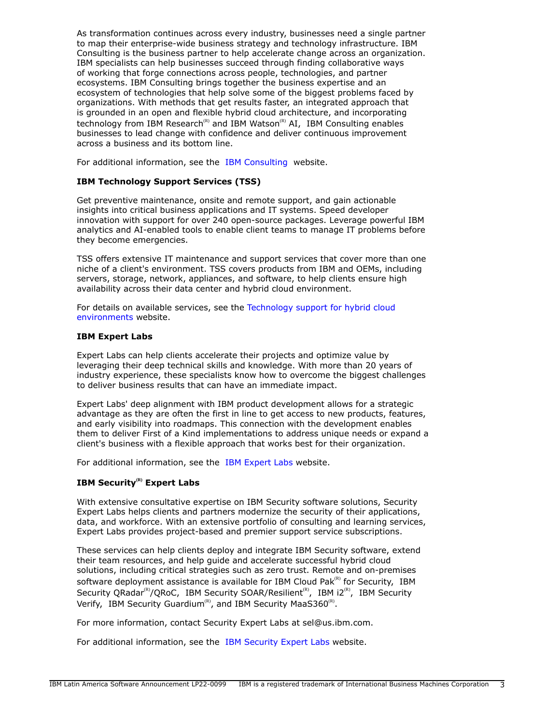As transformation continues across every industry, businesses need a single partner to map their enterprise-wide business strategy and technology infrastructure. IBM Consulting is the business partner to help accelerate change across an organization. IBM specialists can help businesses succeed through finding collaborative ways of working that forge connections across people, technologies, and partner ecosystems. IBM Consulting brings together the business expertise and an ecosystem of technologies that help solve some of the biggest problems faced by organizations. With methods that get results faster, an integrated approach that is grounded in an open and flexible hybrid cloud architecture, and incorporating technology from IBM Research<sup>(R)</sup> and IBM Watson<sup>(R)</sup> AI, IBM Consulting enables businesses to lead change with confidence and deliver continuous improvement across a business and its bottom line.

For additional information, see the [IBM Consulting](https://www.ibm.com/consulting) website.

# **IBM Technology Support Services (TSS)**

Get preventive maintenance, onsite and remote support, and gain actionable insights into critical business applications and IT systems. Speed developer innovation with support for over 240 open-source packages. Leverage powerful IBM analytics and AI-enabled tools to enable client teams to manage IT problems before they become emergencies.

TSS offers extensive IT maintenance and support services that cover more than one niche of a client's environment. TSS covers products from IBM and OEMs, including servers, storage, network, appliances, and software, to help clients ensure high availability across their data center and hybrid cloud environment.

For details on available services, see the [Technology support for hybrid cloud](https://www.ibm.com/services/technology-support) [environments](https://www.ibm.com/services/technology-support) website.

## **IBM Expert Labs**

Expert Labs can help clients accelerate their projects and optimize value by leveraging their deep technical skills and knowledge. With more than 20 years of industry experience, these specialists know how to overcome the biggest challenges to deliver business results that can have an immediate impact.

Expert Labs' deep alignment with IBM product development allows for a strategic advantage as they are often the first in line to get access to new products, features, and early visibility into roadmaps. This connection with the development enables them to deliver First of a Kind implementations to address unique needs or expand a client's business with a flexible approach that works best for their organization.

For additional information, see the [IBM Expert Labs](https://www.ibm.com/products/expertlabs) website.

# **IBM Security(R) Expert Labs**

With extensive consultative expertise on IBM Security software solutions, Security Expert Labs helps clients and partners modernize the security of their applications, data, and workforce. With an extensive portfolio of consulting and learning services, Expert Labs provides project-based and premier support service subscriptions.

These services can help clients deploy and integrate IBM Security software, extend their team resources, and help guide and accelerate successful hybrid cloud solutions, including critical strategies such as zero trust. Remote and on-premises software deployment assistance is available for IBM Cloud Pak $R<sup>(R)</sup>$  for Security, IBM Security QRadar<sup>(R)</sup>/QRoC, IBM Security SOAR/Resilient<sup>(R)</sup>, IBM i2<sup>(R)</sup>, IBM Security Verify, IBM Security Guardium<sup>(R)</sup>, and IBM Security MaaS360<sup>(R)</sup>.

For more information, contact Security Expert Labs at sel@us.ibm.com.

For additional information, see the [IBM Security Expert Labs](https://www.ibm.com/security/security-expert-labs) website.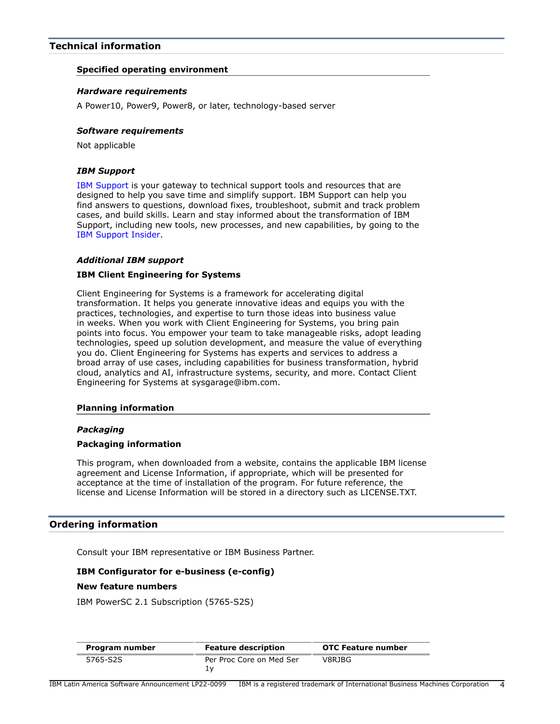# <span id="page-3-0"></span>**Technical information**

## **Specified operating environment**

#### *Hardware requirements*

A Power10, Power9, Power8, or later, technology-based server

#### *Software requirements*

Not applicable

## *IBM Support*

[IBM Support](https://www.ibm.com/support) is your gateway to technical support tools and resources that are designed to help you save time and simplify support. IBM Support can help you find answers to questions, download fixes, troubleshoot, submit and track problem cases, and build skills. Learn and stay informed about the transformation of IBM Support, including new tools, new processes, and new capabilities, by going to the [IBM Support Insider](https://www.ibm.com/support/insider).

#### *Additional IBM support*

### **IBM Client Engineering for Systems**

Client Engineering for Systems is a framework for accelerating digital transformation. It helps you generate innovative ideas and equips you with the practices, technologies, and expertise to turn those ideas into business value in weeks. When you work with Client Engineering for Systems, you bring pain points into focus. You empower your team to take manageable risks, adopt leading technologies, speed up solution development, and measure the value of everything you do. Client Engineering for Systems has experts and services to address a broad array of use cases, including capabilities for business transformation, hybrid cloud, analytics and AI, infrastructure systems, security, and more. Contact Client Engineering for Systems at sysgarage@ibm.com.

#### **Planning information**

#### *Packaging*

#### **Packaging information**

This program, when downloaded from a website, contains the applicable IBM license agreement and License Information, if appropriate, which will be presented for acceptance at the time of installation of the program. For future reference, the license and License Information will be stored in a directory such as LICENSE.TXT.

## <span id="page-3-1"></span>**Ordering information**

Consult your IBM representative or IBM Business Partner.

## **IBM Configurator for e-business (e-config)**

#### **New feature numbers**

IBM PowerSC 2.1 Subscription (5765-S2S)

| Program number | <b>Feature description</b> | <b>OTC Feature number</b> |
|----------------|----------------------------|---------------------------|
| 5765-S2S       | Per Proc Core on Med Ser   | V8RJBG                    |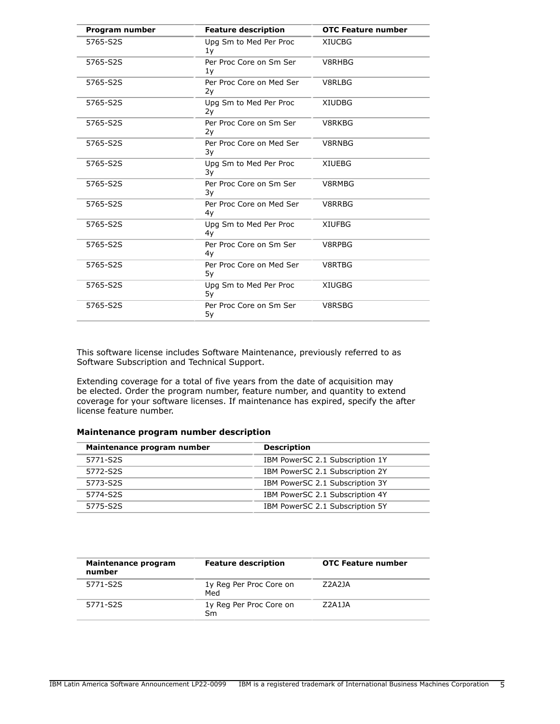| Program number | <b>Feature description</b>     | <b>OTC Feature number</b> |
|----------------|--------------------------------|---------------------------|
| 5765-S2S       | Upg Sm to Med Per Proc<br>1y   | <b>XIUCBG</b>             |
| 5765-S2S       | Per Proc Core on Sm Ser<br>1y  | V8RHBG                    |
| 5765-S2S       | Per Proc Core on Med Ser<br>2y | V8RLBG                    |
| 5765-S2S       | Upg Sm to Med Per Proc<br>2y   | <b>XIUDBG</b>             |
| 5765-S2S       | Per Proc Core on Sm Ser<br>2y  | V8RKBG                    |
| 5765-S2S       | Per Proc Core on Med Ser<br>3y | V8RNBG                    |
| 5765-S2S       | Upg Sm to Med Per Proc<br>3y   | <b>XIUEBG</b>             |
| 5765-S2S       | Per Proc Core on Sm Ser<br>3y  | V8RMBG                    |
| 5765-S2S       | Per Proc Core on Med Ser<br>4y | V8RRBG                    |
| 5765-S2S       | Upg Sm to Med Per Proc<br>4y   | <b>XIUFBG</b>             |
| 5765-S2S       | Per Proc Core on Sm Ser<br>4y  | V8RPBG                    |
| 5765-S2S       | Per Proc Core on Med Ser<br>5у | V8RTBG                    |
| 5765-S2S       | Upg Sm to Med Per Proc<br>5y   | <b>XIUGBG</b>             |
| 5765-S2S       | Per Proc Core on Sm Ser<br>5y  | V8RSBG                    |

This software license includes Software Maintenance, previously referred to as Software Subscription and Technical Support.

Extending coverage for a total of five years from the date of acquisition may be elected. Order the program number, feature number, and quantity to extend coverage for your software licenses. If maintenance has expired, specify the after license feature number.

# **Maintenance program number description**

| Maintenance program number | <b>Description</b>              |  |
|----------------------------|---------------------------------|--|
| 5771-S2S                   | IBM PowerSC 2.1 Subscription 1Y |  |
| 5772-S2S                   | IBM PowerSC 2.1 Subscription 2Y |  |
| 5773-S2S                   | IBM PowerSC 2.1 Subscription 3Y |  |
| 5774-S2S                   | IBM PowerSC 2.1 Subscription 4Y |  |
| 5775-S2S                   | IBM PowerSC 2.1 Subscription 5Y |  |

| Maintenance program<br>number | <b>Feature description</b>     | <b>OTC Feature number</b> |
|-------------------------------|--------------------------------|---------------------------|
| 5771-S2S                      | 1y Reg Per Proc Core on<br>Med | Z2A2JA                    |
| 5771-S2S                      | 1y Reg Per Proc Core on<br>Sm  | 72A11A                    |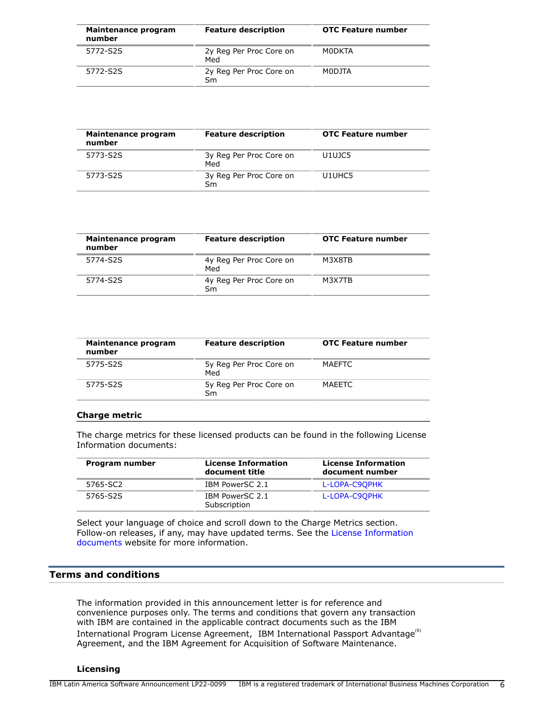| Maintenance program<br>number | <b>Feature description</b>     | <b>OTC Feature number</b> |
|-------------------------------|--------------------------------|---------------------------|
| 5772-S2S                      | 2y Reg Per Proc Core on<br>Med | MODKTA                    |
| 5772-S2S                      | 2y Reg Per Proc Core on<br>Sm  | MODJTA                    |

| Maintenance program<br>number | <b>Feature description</b>     | <b>OTC Feature number</b> |
|-------------------------------|--------------------------------|---------------------------|
| 5773-S2S                      | 3y Reg Per Proc Core on<br>Med | U1UJC5                    |
| 5773-S2S                      | 3y Reg Per Proc Core on<br>Sm  | U1UHC5                    |

| Maintenance program<br>number | <b>Feature description</b>     | <b>OTC Feature number</b> |
|-------------------------------|--------------------------------|---------------------------|
| 5774-S2S                      | 4y Reg Per Proc Core on<br>Med | M3X8TB                    |
| 5774-S2S                      | 4y Reg Per Proc Core on<br>Sm  | M3X7TB                    |

| Maintenance program<br>number | <b>Feature description</b>     | <b>OTC Feature number</b> |
|-------------------------------|--------------------------------|---------------------------|
| 5775-S2S                      | 5y Reg Per Proc Core on<br>Med | <b>MAEFTC</b>             |
| 5775-S2S                      | 5y Reg Per Proc Core on<br>Sm  | MAEETC                    |
|                               |                                |                           |

## **Charge metric**

The charge metrics for these licensed products can be found in the following License Information documents:

| Program number | <b>License Information</b><br>document title | <b>License Information</b><br>document number |
|----------------|----------------------------------------------|-----------------------------------------------|
| 5765-SC2       | IBM PowerSC 2.1                              | L-LOPA-C9OPHK                                 |
| 5765-S2S       | IBM PowerSC 2.1<br>Subscription              | L-LOPA-C9OPHK                                 |

Select your language of choice and scroll down to the Charge Metrics section. Follow-on releases, if any, may have updated terms. See the [License Information](https://www.ibm.com/software/sla/sladb.nsf/search?OpenForm) [documents](https://www.ibm.com/software/sla/sladb.nsf/search?OpenForm) website for more information.

# <span id="page-5-0"></span>**Terms and conditions**

The information provided in this announcement letter is for reference and convenience purposes only. The terms and conditions that govern any transaction with IBM are contained in the applicable contract documents such as the IBM International Program License Agreement, IBM International Passport Advantage ${}^{\textrm{\tiny(R)}}$ Agreement, and the IBM Agreement for Acquisition of Software Maintenance.

## **Licensing**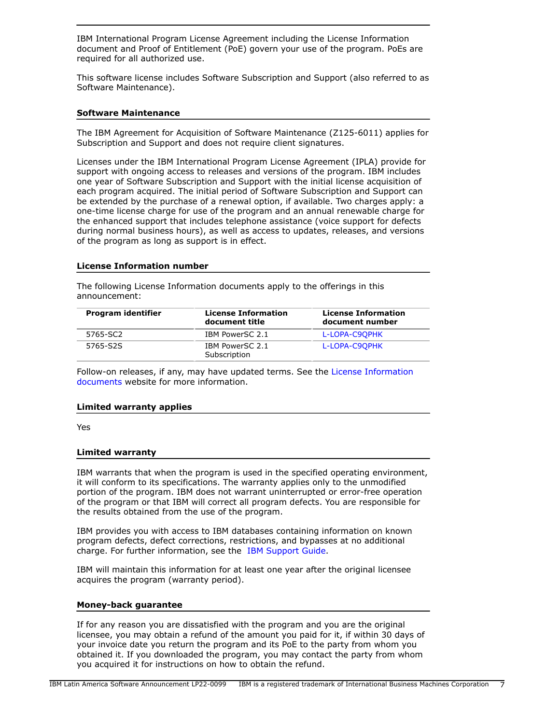IBM International Program License Agreement including the License Information document and Proof of Entitlement (PoE) govern your use of the program. PoEs are required for all authorized use.

This software license includes Software Subscription and Support (also referred to as Software Maintenance).

## **Software Maintenance**

The IBM Agreement for Acquisition of Software Maintenance (Z125-6011) applies for Subscription and Support and does not require client signatures.

Licenses under the IBM International Program License Agreement (IPLA) provide for support with ongoing access to releases and versions of the program. IBM includes one year of Software Subscription and Support with the initial license acquisition of each program acquired. The initial period of Software Subscription and Support can be extended by the purchase of a renewal option, if available. Two charges apply: a one-time license charge for use of the program and an annual renewable charge for the enhanced support that includes telephone assistance (voice support for defects during normal business hours), as well as access to updates, releases, and versions of the program as long as support is in effect.

## **License Information number**

The following License Information documents apply to the offerings in this announcement:

| Program identifier | <b>License Information</b><br>document title | <b>License Information</b><br>document number |
|--------------------|----------------------------------------------|-----------------------------------------------|
| 5765-SC2           | IBM PowerSC 2.1                              | L-LOPA-C9OPHK                                 |
| 5765-S2S           | IBM PowerSC 2.1<br>Subscription              | L-LOPA-C9OPHK                                 |

Follow-on releases, if any, may have updated terms. See the [License Information](https://www.ibm.com/software/sla/sladb.nsf/search?OpenForm) [documents](https://www.ibm.com/software/sla/sladb.nsf/search?OpenForm) website for more information.

## **Limited warranty applies**

Yes

## **Limited warranty**

IBM warrants that when the program is used in the specified operating environment, it will conform to its specifications. The warranty applies only to the unmodified portion of the program. IBM does not warrant uninterrupted or error-free operation of the program or that IBM will correct all program defects. You are responsible for the results obtained from the use of the program.

IBM provides you with access to IBM databases containing information on known program defects, defect corrections, restrictions, and bypasses at no additional charge. For further information, see the [IBM Support Guide](http://www.ibm.com/support/customercare/sas/f/handbook/home.html).

IBM will maintain this information for at least one year after the original licensee acquires the program (warranty period).

## **Money-back guarantee**

If for any reason you are dissatisfied with the program and you are the original licensee, you may obtain a refund of the amount you paid for it, if within 30 days of your invoice date you return the program and its PoE to the party from whom you obtained it. If you downloaded the program, you may contact the party from whom you acquired it for instructions on how to obtain the refund.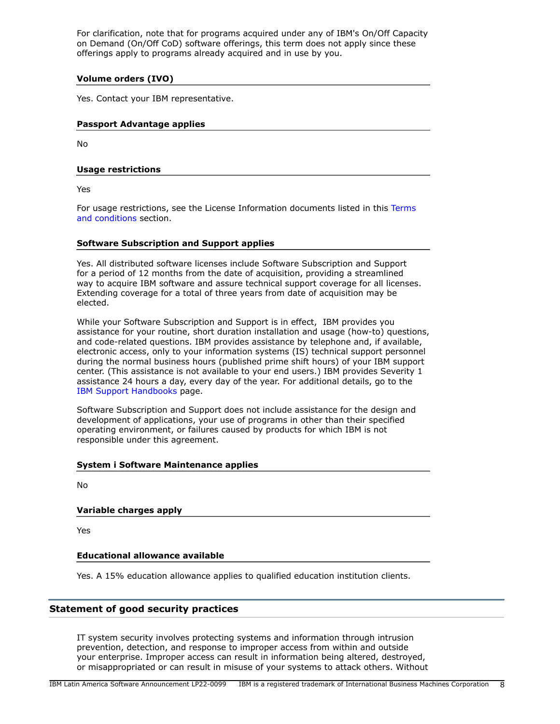For clarification, note that for programs acquired under any of IBM's On/Off Capacity on Demand (On/Off CoD) software offerings, this term does not apply since these offerings apply to programs already acquired and in use by you.

# **Volume orders (IVO)**

Yes. Contact your IBM representative.

# **Passport Advantage applies**

No

## **Usage restrictions**

Yes

For usage restrictions, see the License Information documents listed in this [Terms](#page-5-0) [and conditions](#page-5-0) section.

## **Software Subscription and Support applies**

Yes. All distributed software licenses include Software Subscription and Support for a period of 12 months from the date of acquisition, providing a streamlined way to acquire IBM software and assure technical support coverage for all licenses. Extending coverage for a total of three years from date of acquisition may be elected.

While your Software Subscription and Support is in effect, IBM provides you assistance for your routine, short duration installation and usage (how-to) questions, and code-related questions. IBM provides assistance by telephone and, if available, electronic access, only to your information systems (IS) technical support personnel during the normal business hours (published prime shift hours) of your IBM support center. (This assistance is not available to your end users.) IBM provides Severity 1 assistance 24 hours a day, every day of the year. For additional details, go to the [IBM Support Handbooks](http://www.ibm.com/support/handbook) page.

Software Subscription and Support does not include assistance for the design and development of applications, your use of programs in other than their specified operating environment, or failures caused by products for which IBM is not responsible under this agreement.

## **System i Software Maintenance applies**

No

# **Variable charges apply**

Yes

# **Educational allowance available**

Yes. A 15% education allowance applies to qualified education institution clients.

# **Statement of good security practices**

IT system security involves protecting systems and information through intrusion prevention, detection, and response to improper access from within and outside your enterprise. Improper access can result in information being altered, destroyed, or misappropriated or can result in misuse of your systems to attack others. Without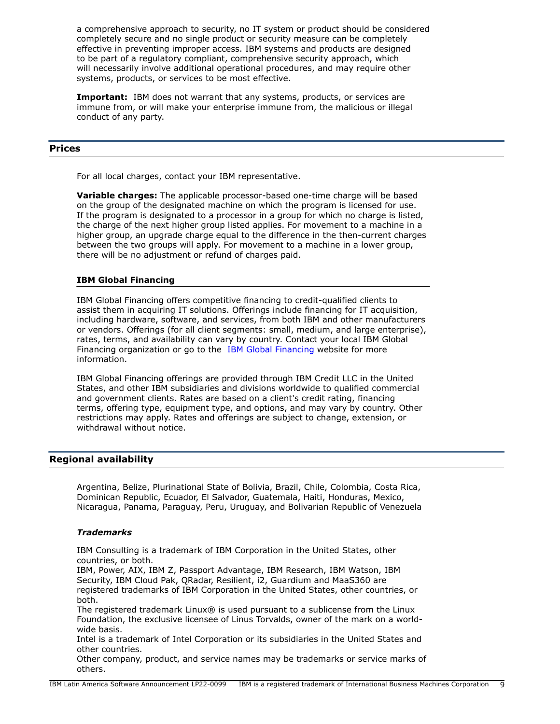a comprehensive approach to security, no IT system or product should be considered completely secure and no single product or security measure can be completely effective in preventing improper access. IBM systems and products are designed to be part of a regulatory compliant, comprehensive security approach, which will necessarily involve additional operational procedures, and may require other systems, products, or services to be most effective.

**Important:** IBM does not warrant that any systems, products, or services are immune from, or will make your enterprise immune from, the malicious or illegal conduct of any party.

## <span id="page-8-0"></span>**Prices**

For all local charges, contact your IBM representative.

**Variable charges:** The applicable processor-based one-time charge will be based on the group of the designated machine on which the program is licensed for use. If the program is designated to a processor in a group for which no charge is listed, the charge of the next higher group listed applies. For movement to a machine in a higher group, an upgrade charge equal to the difference in the then-current charges between the two groups will apply. For movement to a machine in a lower group, there will be no adjustment or refund of charges paid.

## **IBM Global Financing**

IBM Global Financing offers competitive financing to credit-qualified clients to assist them in acquiring IT solutions. Offerings include financing for IT acquisition, including hardware, software, and services, from both IBM and other manufacturers or vendors. Offerings (for all client segments: small, medium, and large enterprise), rates, terms, and availability can vary by country. Contact your local IBM Global Financing organization or go to the [IBM Global Financing](http://www.ibm.com/financing) website for more information.

IBM Global Financing offerings are provided through IBM Credit LLC in the United States, and other IBM subsidiaries and divisions worldwide to qualified commercial and government clients. Rates are based on a client's credit rating, financing terms, offering type, equipment type, and options, and may vary by country. Other restrictions may apply. Rates and offerings are subject to change, extension, or withdrawal without notice.

## <span id="page-8-1"></span>**Regional availability**

Argentina, Belize, Plurinational State of Bolivia, Brazil, Chile, Colombia, Costa Rica, Dominican Republic, Ecuador, El Salvador, Guatemala, Haiti, Honduras, Mexico, Nicaragua, Panama, Paraguay, Peru, Uruguay, and Bolivarian Republic of Venezuela

## *Trademarks*

IBM Consulting is a trademark of IBM Corporation in the United States, other countries, or both.

IBM, Power, AIX, IBM Z, Passport Advantage, IBM Research, IBM Watson, IBM Security, IBM Cloud Pak, QRadar, Resilient, i2, Guardium and MaaS360 are registered trademarks of IBM Corporation in the United States, other countries, or both.

The registered trademark Linux® is used pursuant to a sublicense from the Linux Foundation, the exclusive licensee of Linus Torvalds, owner of the mark on a worldwide basis.

Intel is a trademark of Intel Corporation or its subsidiaries in the United States and other countries.

Other company, product, and service names may be trademarks or service marks of others.